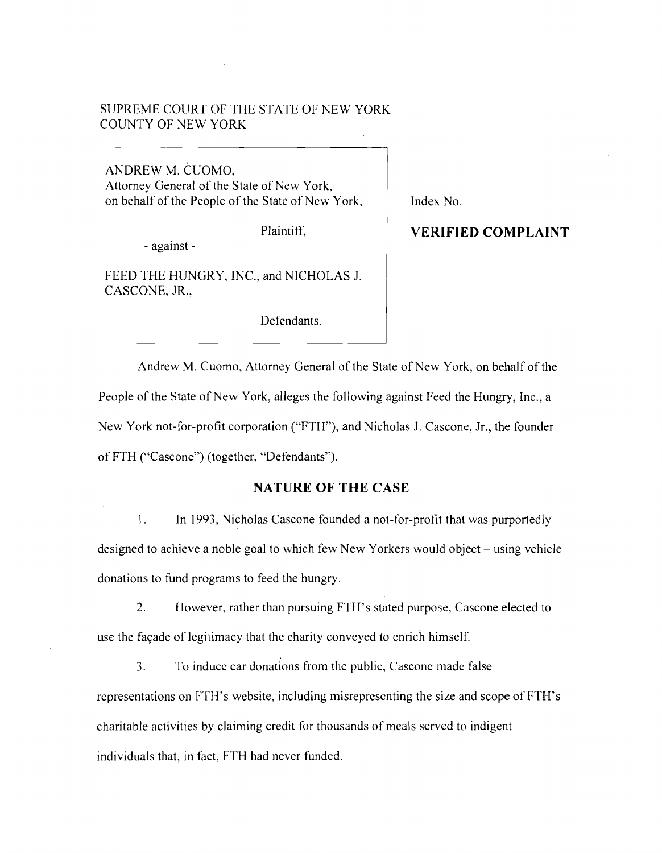# SUPREME COURT OF THE STATE OF NEW YORK COUNTY OF NEW YORK

ANDREW M. CUOMO, Attorney General of the State of New York, on behalf of the People of the State of New York,

Plaintiff.

- against

FEED THE HUNGRY, INC., and NICHOLAS J. CASCONE, JR.,

Defendants.

Index No.

**VERIFIED COMPLAINT** 

Andrew M. Cuomo, Attorney General of the State of New York, on behalf of the People of the State of New York, alleges the following against Feed the Hungry, Inc., a New York not-for-profit corporation ("FTH"), and Nicholas J. Cascone, Jr., the founder of FTH ("Cascone") (together, "Defendants").

# **NATURE OF THE CASE**

1. In 1993, Nicholas Cascone founded a not-for-profit that was purportedly designed to achieve a noble goal to which few New Yorkers would object – using vehicle donations to fund programs to feed the hungry.

2. However, rather than pursuing FTH's stated purpose, Cascone elected to use the façade of legitimacy that the charity conveyed to enrich himself.

3. To induce car donations from the public, Cascone made false representations on FTH's website, including misrepresenting the size and scope of FrITs charitable activities by claiming credit for thousands of meals served to indigent individuals that, in fact, FTH had never funded.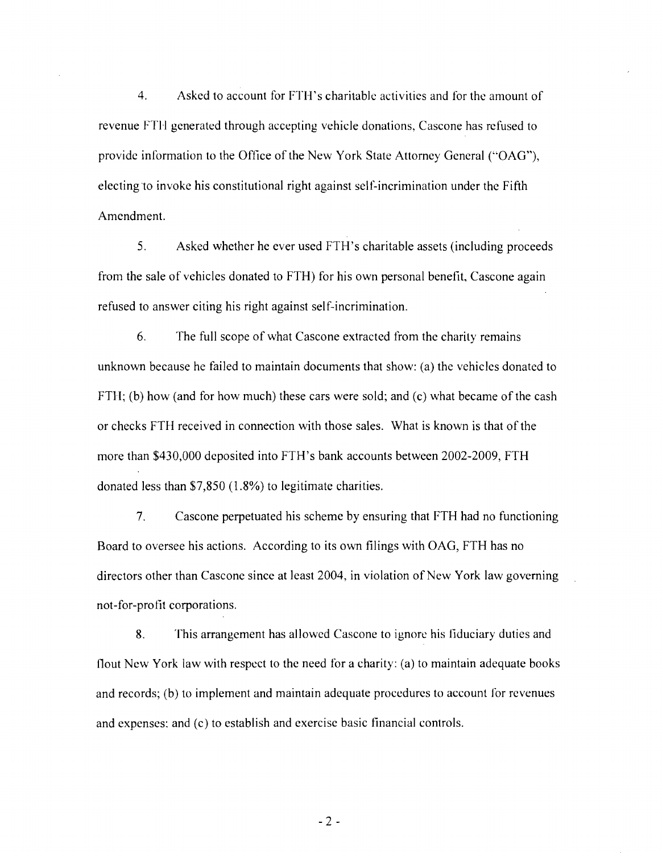4. Asked to account for FTH's charitable activities and for the amount of revenue FTH generated through accepting vehicle donations, Cascone has refused to provide information to the Office of the New York State Attorney General ("OAG"), electing to invoke his constitutional right against self-incrimination under the Fifth Amendment.

5. Asked whether he ever used FTH's charitable assets (including proceeds from the sale of vehicles donated to FTH) for his own personal benetit, Cascone again refused to answer citing his right against self-incrimination.

6. The full scope of what Cascone extracted from the charity remains unknown because he failed to maintain documents that show: (a) the vehicles donated to FTH; (b) how (and for how much) these cars were sold; and (c) what became of the cash or checks FTH received in connection with those sales. What is known is that of the more than \$430,000 deposited into FTH's bank accounts between 2002-2009, FTH donated less than \$7,850 (1.8%) to legitimate charities.

7. Cascone perpetuated his scheme by ensuring that FTH had no functioning Board to oversee his actions. According to its own filings with OAG, FTH has no directors other than Cascone since at least 2004, in violation of New York law governing not-for-profit corporations.

8. This arrangement has allowed Cascone to ignore his fiduciary duties and flout New York law with respect to the need for a charity: (a) to maintain adequate books and records; (b) to implement and maintain adequate procedures to account for revenues and expenses: and (c) to establish and exercise basic financial controls.

 $-2 -$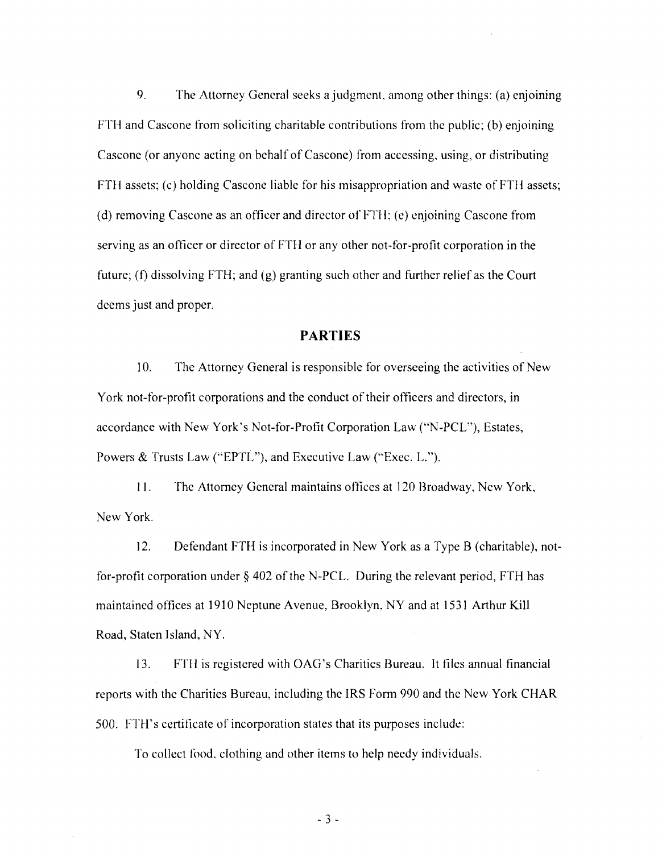9. The Attorney General seeks a judgment, among other things: (a) enjoining FTH and Cascone from soliciting charitable contributions from the public; (b) enjoining Cascone (or anyone acting on behalf of Cascone) from accessing, using, or distributing FTlI assets; (c) holding Cascone liable for his misappropriation and waste of FTll assets; (d) removing Cascone as an officer and director of FTH; (e) enjoining Cascone from serving as an officer or director of FTH or any other not-for-profit corporation in the future; (f) dissolving FTH; and (g) granting such other and further relief as the Court deems just and proper.

#### **PARTIES**

10. The Attorney General is responsible for overseeing the activities of New York not-for-profit corporations and the conduct of their officers and directors, in accordance with New York's Not-for-Profit Corporation Law ("N-PCL"), Estates, Powers & Trusts Law ("EPTL"), and Executive Law ("Exec. L.").

11. The Attorney General maintains offices at 120 Broadway, New York, New York.

12. Defendant FTH is incorporated in New York as a Type B (charitable), notfor-profit corporation under § 402 of the N-PCL. During the relevant period, FTH has maintained offices at 1910 Neptune Avenue, Brooklyn, NY and at 1531 Arthur Kill Road, Staten Island, NY.

13. FTII is registered with OAG's Charities Bureau. It files annual financial reports with the Charities Bureau, including the IRS Form 990 and the New York CHAR 500. FTH's certificate of incorporation states that its purposes include:

To collect food, clothing and other items to help needy individuals.

 $-3 -$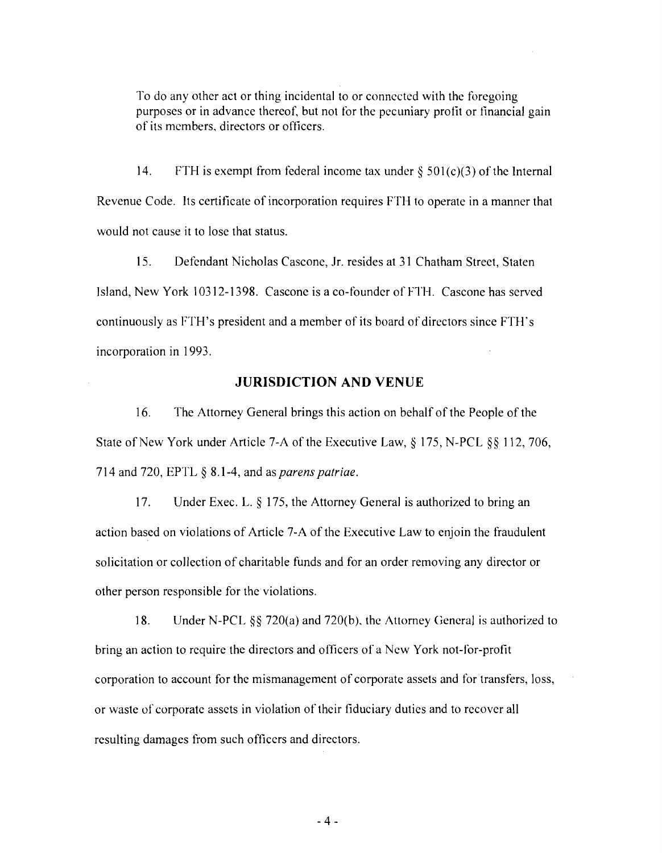To do any other act or thing incidental to or connected with the foregoing purposes or in advance thereof, but not for the pecuniary profit or financial gain of its members, directors or officers.

14. FTH is exempt from federal income tax under  $\S 501(c)(3)$  of the Internal Revenue Code. Its certificate of incorporation requires FTH to operate in a manner that would not cause it to lose that status.

15. Defendant Nicholas Cascone, Jr. resides at 31 Chatham Street, Staten Island, New York 10312-1398. Cascone is a co-founder of FTH. Cascone has served continuously as FTH's president and a member of its board of directors since FTH's incorporation in 1993.

## **JURISDICTION AND VENUE**

16. The Attorney General brings this action on behalf of the People of the State of New York under Article 7-A of the Executive Law, § 175, N-PCL §§ 112, 706, 714 and *no,* EPTL § 8.1-4, and as *parens patriae.* 

17. Under Exec. L. § 175, the Attorney General is authorized to bring an action based on violations of Article 7-A of the Executive Law to enjoin the fraudulent solicitation or collection of charitable funds and for an order removing any director or other person responsible for the violations.

18. Under N-PCL §§ 720(a) and 720(b), the Attorney General is authorized to bring an action to require the directors and officers of a New York not-for-profit corporation to account for the mismanagement of corporate assets and for transfers, loss, or waste of corporate assets in violation of their fiduciary duties and to recover all resulting damages from such officers and directors.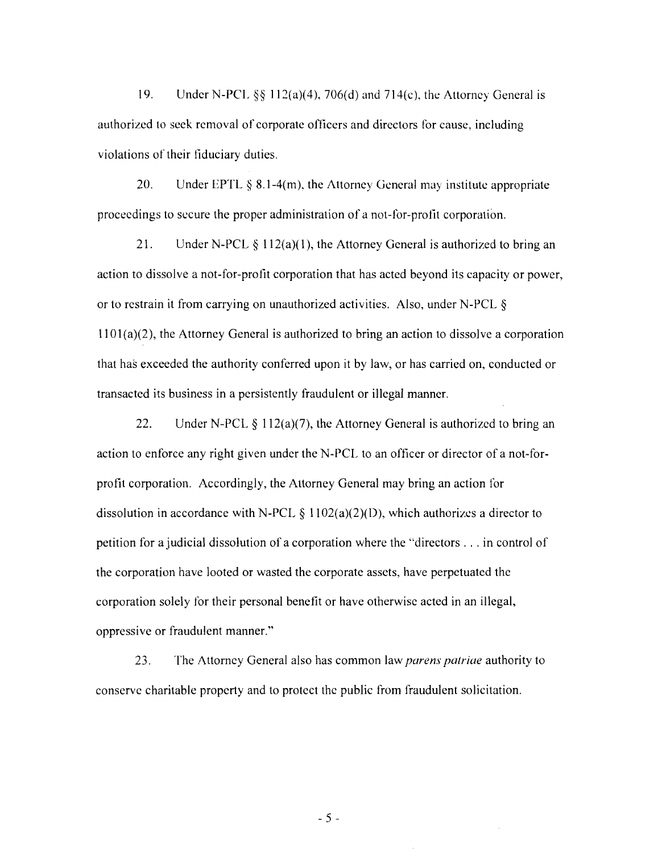19. Under N-PCL  $\S$ § 112(a)(4), 706(d) and 714(c), the Attorney General is authorized to seek removal of corporate officers and directors for cause, including violations of their tiduciary duties.

20. Under EPTL  $\S 8.1-4(m)$ , the Attorney General may institute appropriate proceedings to secure the proper administration of a not-for-profit corporation.

21. Under N-PCL  $\S 112(a)(1)$ , the Attorney General is authorized to bring an action to dissolve a not-for-profit corporation that has acted beyond its capacity or power, or to restrain it from carrying on unauthorized activities. Also, under N-PCL § 1101(a)(2), the Attorney General is authorized to bring an action to dissolve a corporation that has exceeded the authority conferred upon it by law, or has carried on, conducted or transacted its business in a persistently fraudulent or illegal manner.

22. Under N-PCL  $\S 112(a)(7)$ , the Attorney General is authorized to bring an action to enforce any right given under the N-PCL to an officer or director of a not-forprofit corporation. Accordingly, the Attorney General may bring an action for dissolution in accordance with N-PCL  $\S 1102(a)(2)(D)$ , which authorizes a director to petition for a judicial dissolution of a corporation where the "directors ... in control of the corporation have looted or wasted the corporate assets, have perpetuated the corporation solely for their personal benefit or have otherwise acted in an illegal, oppressive or fraudulent manner."

23. The Attorney General also has common law *parens patriae* authority to conserve charitable property and to protect the public from fraudulent solicitation.

 $-5 -$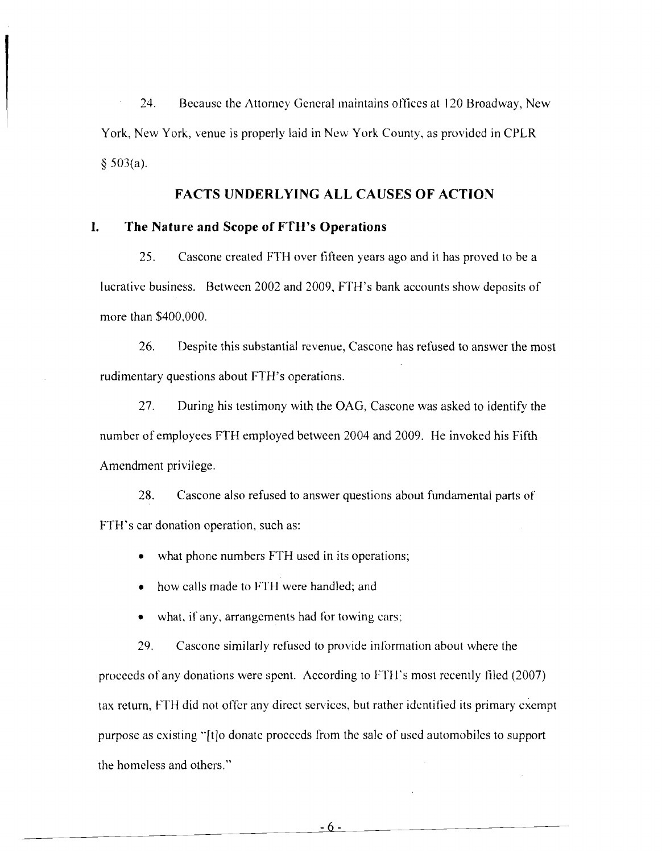24. Because the Attorney General maintains offices at 120 Broadway, New York, New York, venue is properly laid in New York County, as provided in CPLR § 503(a).

**FACTS UNDERLYING ALL CAUSES OF ACTION** 

## **I. The Nature and Scope of FTH's Operations**

25. Cascone created FTH over fifteen years ago and it has proved to be a lucrative business. Between 2002 and 2009, FTH's bank accounts show deposits of more than \$400,000.

26. Despite this substantial revenue, Cascone has refused to answer the most rudimentary questions about FTH's operations.

27. During his testimony with the OAG, Cascone was asked to identify the number of employees FTH employed between 2004 and 2009. He invoked his Fifth Amendment privilege.

28. Cascone also refused to answer questions about fundamental parts of FTH's car donation operation, such as:

• what phone numbers FTH used in its operations;

• how calls made to FTH were handled; and

what, if any, arrangements had for towing cars;

29. Cascone similarly refused to provide information about where the proceeds of any donations were spent. According to FTH's most recently filed (2007) tax return, FTH did not offer any direct services, but rather identified its primary exempt purpose as existing "[tJo donate proceeds from the sale of used automobiles to support the homeless and others."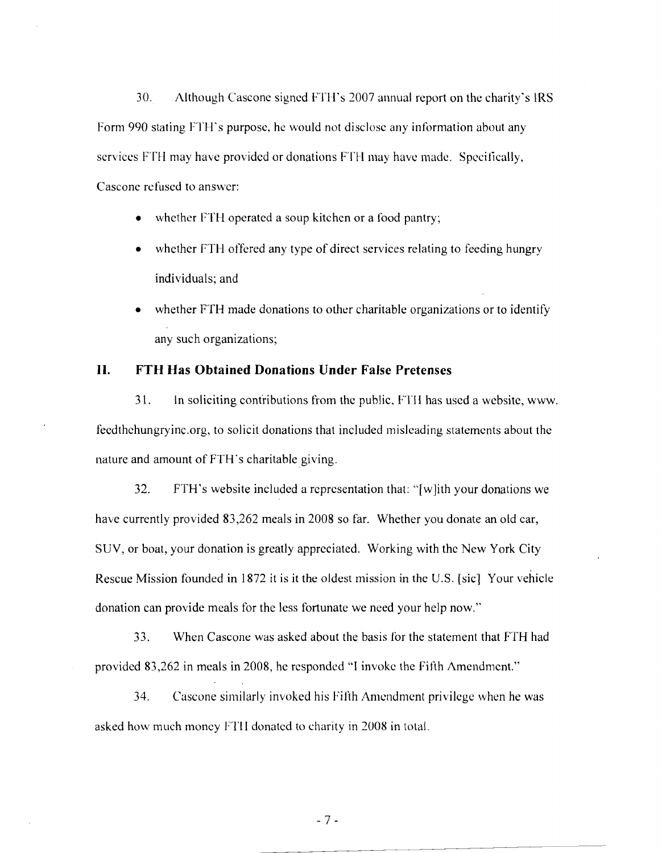30. Although Cascone signed FTH's 2007 annual report on the charity's IRS Form 990 stating FTH's purpose, he would not disclose any information about any services FTH may have provided or donations FTH may have made. Specifically, Cascone refused to answer:

- whether FTH operated a soup kitchen or a food pantry;
- whether FTH offered any type of direct services relating to feeding hungry individuals; and
- whether FTH made donations to other charitable organizations or to identify any such organizations;

# **II. FTH Has Obtained Donations Under False Pretenses**

31. In soliciting contributions from the public, FTI I has used a website, www. feedthehungryinc.org, to solicit donations that included misleading statements about the nature and amount of FTH 's charitable giving.

32. FTH's website included a representation that: "[w]ith your donations we have currently provided 83,262 meals in 2008 so far. Whether you donate an old car, SUY, or boat, your donation is greatly appreciated. Working with the New York City Rescue Mission founded in 1872 it is it the oldest mission in the U.S. [sic] Your vehicle donation can provide meals for the less fortunate we need your help now."

33. When Cascone was asked about the basis for the statement that FTH had provided 83,262 in meals in 2008, hc responded "1 invoke the Fifth Amendment."

34. Cascone similarly invoked his Filth Amendment privilege when he was asked how much money FTII donated to charity in 2008 in total.

 $-7-$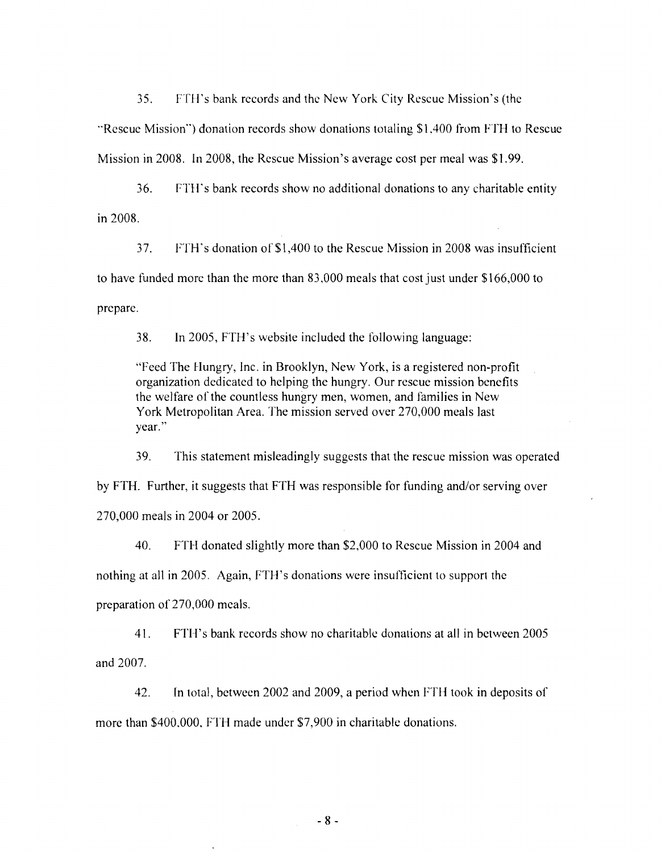35. FTH's bank records and the New York City Rescue Mission's (the "Rescue Mission") donation records show donations totaling \$1,400 from FTH to Rescue Mission in 2008. In 2008, the Rescue Mission's average cost per meal was \$1.99.

36. FTH's bank records show no additional donations to any charitable entity in 2008.

37. FTH's donation of \$1 ,400 to the Rescue Mission in 2008 was insufficient to have funded more than the more than 83,000 meals that cost just under \$166,000 to prepare.

38. In 2005, FTH's website included the following language:

"Feed The Hungry, Inc. in Brooklyn, New York, is a registered non-profit organization dedicated to helping the hungry. Our rescue mission benefits the welfare of the countless hungry men, women, and families in New York Metropolitan Area. The mission served over 270,000 meals last year."

39. This statement misleadingly suggests that the rescue mission was operated by FTH. Further, it suggests that FTH was responsible for funding and/or serving over 270,000 meals in 2004 or 2005.

40. FTH donated slightly more than \$2,000 to Rescue Mission in 2004 and nothing at all in 2005. Again, FTH's donations were insufficient to support the preparation of 270,000 meals.

41. FTB's bank records show no charitable donations at all in between 2005 and 2007.

42. In total, between 2002 and 2009, a period when FTH took in deposits of more than \$400,000, FTH made under \$7,900 in charitable donations.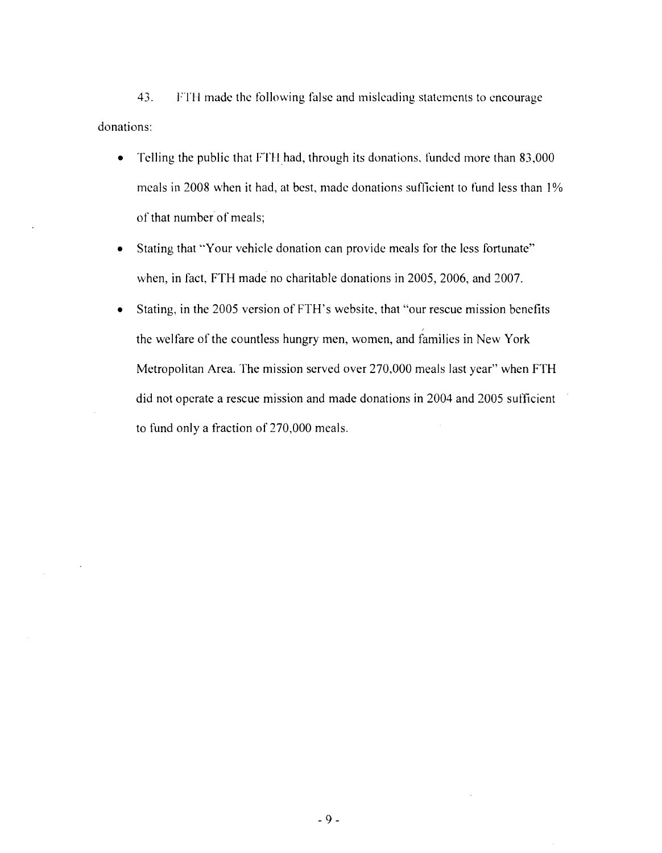43. FTH made the following false and misleading statements to encourage donations:

- Telling the public that FTH had, through its donations, funded more than 83,000 meals in 2008 when it had, at best, made donations sufficient to fund less than 1% of that number of meals;
- Stating that "Your vehicle donation can provide meals for the less fortunate" when, in fact, FTH made no charitable donations in 2005, 2006, and 2007.
- Stating, in the 2005 version of FTH's website, that "our rescue mission benefits" , the welfare of the countless hungry men, women, and families in New York Metropolitan Area. The mission served over 270,000 meals last year" when FTH did not operate a rescue mission and made donations in 2004 and 2005 sufficient to fund only a fraction of 270,000 meals.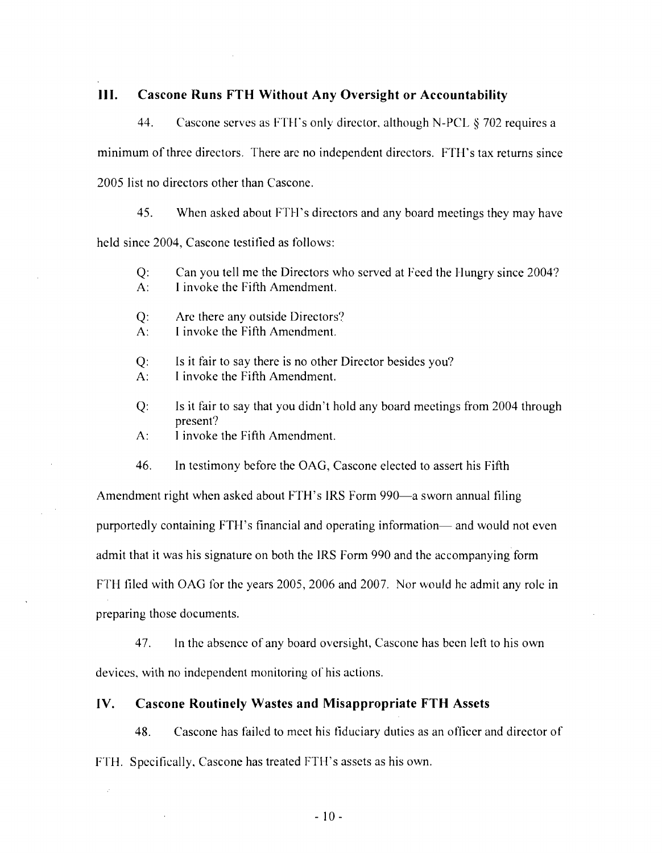## **III. Cascone Runs FTH Without Any Oversight or Accountability**

44. Cascone serves as FTH's only director, although N-PCL § 702 requires a minimum of three directors. There are no independent directors. FTH's tax returns since 2005 list no directors other than Cascone.

45. When asked about FTH's directors and any board meetings they may have held since 2004, Cascone testified as follows:

Q: Can you tell me the Directors who served at Feed the Hungry since 2004? A: I invoke the Fifth Amendment.

Q: Are there any outside Directors?

A: I invoke the Fifth Amendment.

Q: Is it fair to say there is no other Director besides you?

A: I invoke the Fifth Amendment.

Q: Is it fair to say that you didn't hold any board meetings from 2004 through present?

A: I invoke the Fifth Amendment.

46. **In** testimony before the GAG, Cascone elected to assert his Fifth

Amendment right when asked about FTH's IRS Form 990—a sworn annual filing purportedly containing FTH's financial and operating information— and would not even admit that it was his signature on both the IRS Form 990 and the accompanying form FTH filed with GAG for the years 2005, 2006 and 2007. Nor would he admit any role in preparing those documents.

47. In the absence of any board oversight, Cascone has been left to his own devices, with no independent monitoring of his actions.

#### **IV. Cascone Routinely Wastes and Misappropriate FTH Assets**

48. Cascone has failed to meet his fiduciary duties as an officer and director of FTH. Specifically, Cascone has treated FTH's assets as his own.

 $-10-$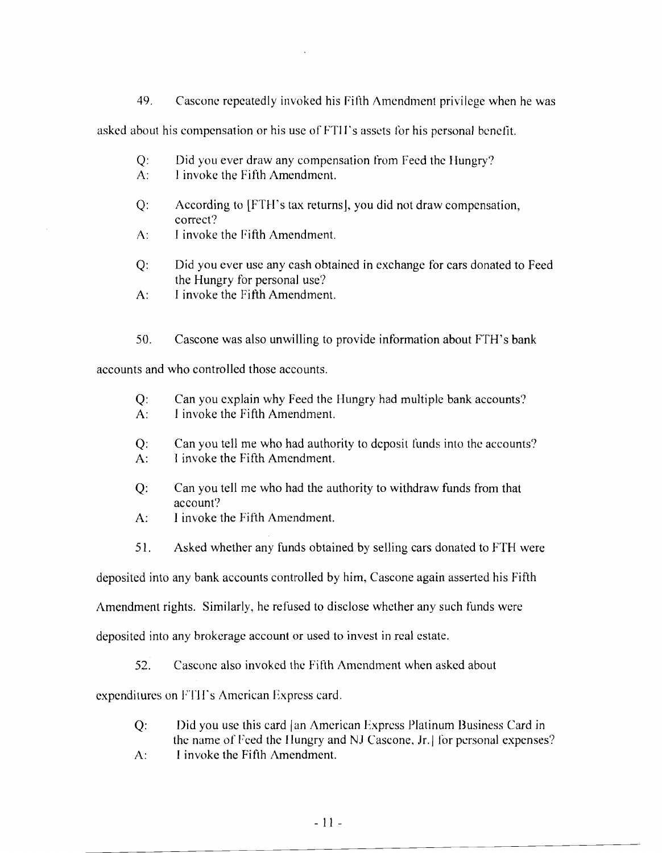49. Cascone repeatedly invoked his Filth Amendment privilege when he was

asked about his compensation or his use of FTII's assets for his personal benefit.

- Q: Did you ever draw any compensation from Feed the Hungry?
- A: I invoke the Fifth Amendment.
- Q: According to [FTH's tax returns], you did not draw compensation, correct?
- A: I invoke the Fifth Amendment.
- Q: Did you ever use any cash obtained in exchange for cars donated to Feed the Hungry for personal use?
- A: I invoke the Fifth Amendment.

50. Cascone was also unwilling to provide information about FTH's bank

accounts and who controlled those accounts.

- Q: Can you explain why Feed the Hungry had multiple bank accounts?
- A: I invoke the Fifth Amendment.
- Q: Can you tell me who had authority to deposit funds into the accounts?
- A: I invoke the Fifth Amendment.
- Q: Can you tell me who had the authority to withdraw funds from that account?
- A: I invoke the Fifth Amendment.
- 51. Asked whether any funds obtained by selling cars donated to FTH were

deposited into any bank accounts controlled by him, Cascone again asserted his Fifth

Amendment rights. Similarly, he refused to disclose whether any such funds were

deposited into any brokerage account or used to invest in real estate.

52. Cascone also invoked the Fifth Amendment when asked about

expenditures on FTII's American Express card.

- Q: Did you use this card [an American Express Platinum Business Card in the name of Feed the Hungry and NJ Cascone, Jr. for personal expenses? A: I invoke the Fifth Amendment.
-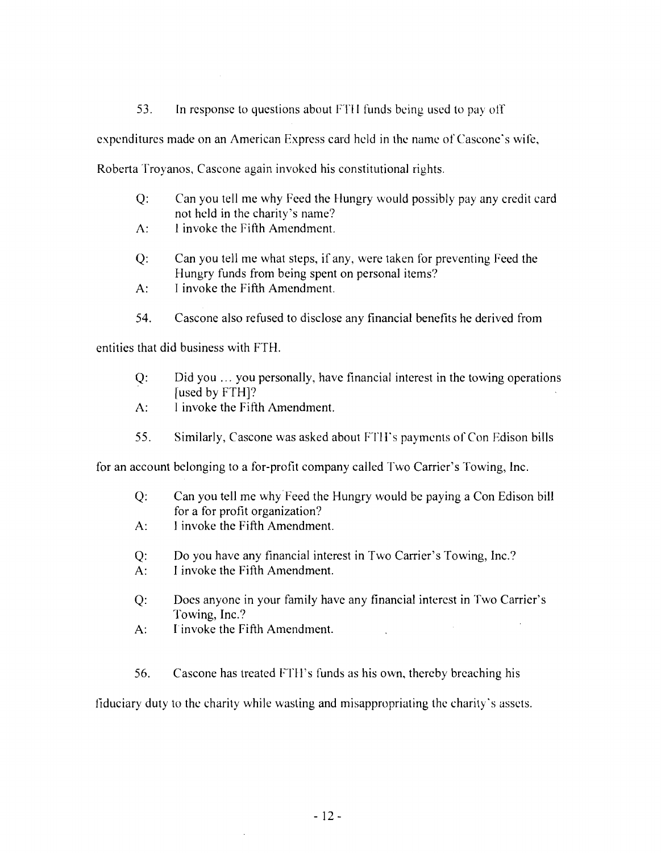53. In response to questions about FTI I funds being used to payoff

expenditures made on an American Express card held in the name of Cascone's wife,

Roberta Troyanos, Cascone again invoked his constitutional rights.

- Q: Can you tell me why Feed the Hungry would possibly pay any credit eard not held in the charity's name?
- A: I invoke the Fifth Amendment.
- Q: Can you tell me what steps, if any, were taken for preventing Feed the Hungry funds from being spent on personal items?
- A: I invoke the Fifth Amendment.
- 54. Cascone also refused to disclose any financial benefits he derived from

entities that did business with FTH.

- Q: Did you ... you personally, have financial interest in the towing operations [used by FTH]?
- A: I invoke the Fifth Amendment.
- 55. Similarly, Cascone was asked about FTll"s payments of Con Edison bills

for an account belonging to a for-profit company called Two Carrier's Towing, Inc.

- Q: Can you tell me why Feed the Hungry would be paying a Con Edison bill for a for profit organization?
- A: I invoke the Fifth Amendment.
- Q: Do you have any financial interest in Two Carrier's Towing, Inc.?
- A: I invoke the Fifth Amendment.
- Q: Does anyone in your family have any financial interest in Two Carrier's Towing, Inc.?
- A: I invoke the Fifth Amendment.
- 56. Cascone has treated FTH's funds as his own, thereby breaching his

fiduciary duty to the charity while wasting and misappropriating the charity's assets.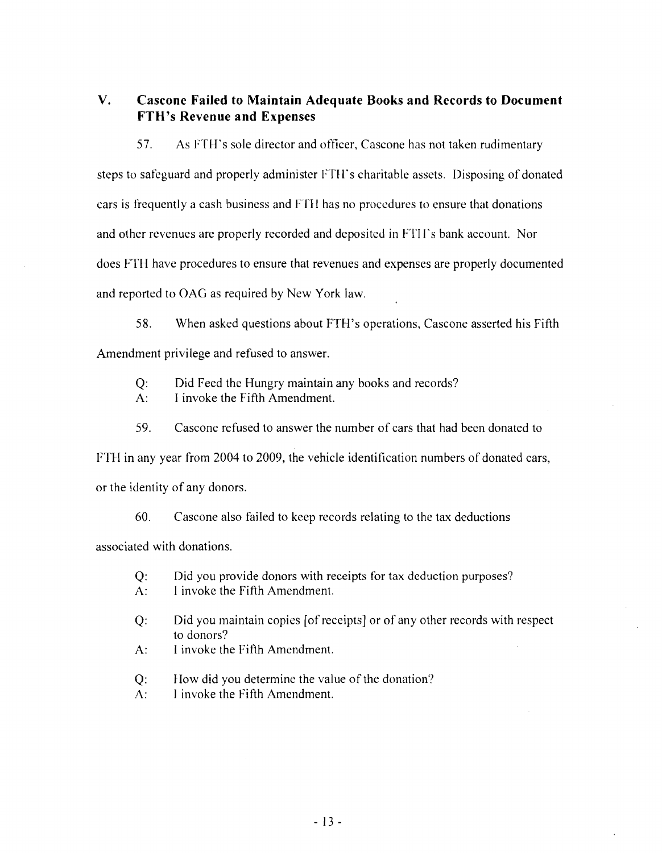**V. Cascone Failed to Maintain Adequate Books and Records to Document FTH's Revenue and Expenses** 

57. As FTH's sole director and officer, Cascone has not taken rudimentary steps to safeguard and properly administer FTH's charitable assets. Disposing of donated cars is frequently a cash business and FTI I has no procedures to ensure that donations and other revenues are properly recorded and deposited in FTll's bank account. Nor does FTH have procedures to ensure that revenues and expenses are properly documented and reported to GAG as required by New York law.

58. When asked questions about FTH's operations, Cascone asserted his Fifth Amendment privilege and refused to answer.

Q: Did Feed the Hungry maintain any books and records?

A: I invoke the Fifth Amendment.

59. Cascone refused to answer the number of cars that had been donated to

FTH in any year from 2004 to 2009, the vehicle identification numbers of donated cars,

or the identity of any donors.

60. Cascone also failed to keep records relating to the tax deductions

associated with donations.

- Q: Did you provide donors with receipts for tax deduction purposes?
- A: I invoke the Fifth Amendment.
- Q: Did you maintain copies [of receipts] or of any other records with respect to donors?
- A: I invoke the Fifth Amendment.
- Q: How did you determine the value of the donation?
- A: I invoke the Fifth Amendment.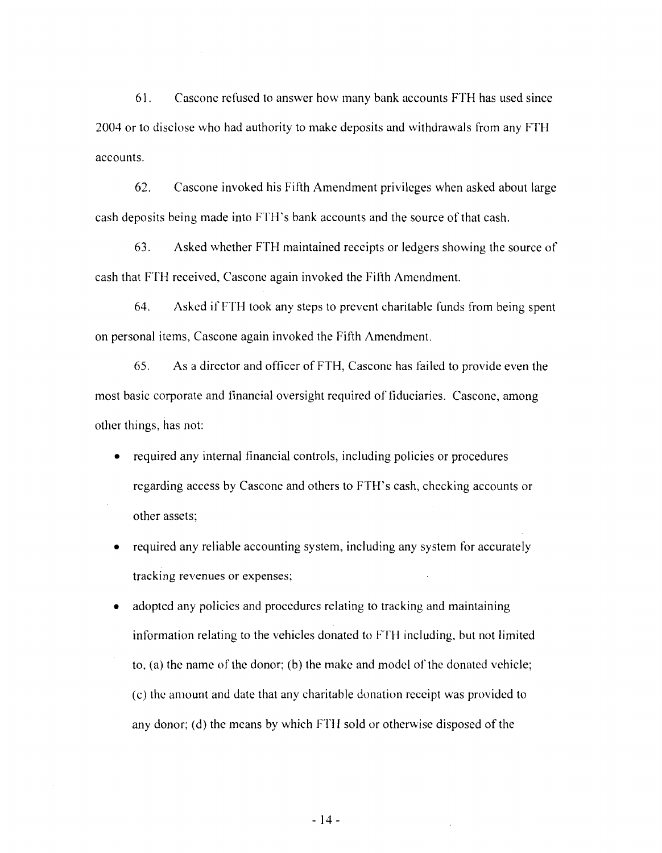61. Cascone refused to answer how many bank accounts FTH has used since 2004 or to disclose who had authority to make deposits and withdrawals from any FTH accounts.

62. Cascone invoked his Fifth Amendment privileges when asked about large cash deposits being made into FTH's bank accounts and the source of that cash.

63. Asked whether FTH maintained receipts or ledgers showing the source of cash that FTH received, Cascone again invoked the Fifth Amendment.

64. Asked if FTH took any steps to prevent charitable funds from being spent on personal items, Cascone again invoked the Fifth Amendment.

65. As a director and officer of FTH, Cascone has failed to provide even the most basic corporate and financial oversight required of fiduciaries. Cascone, among other things, has not:

- required any internal financial controls, including policies or procedures regarding access by Cascone and others to FTH's cash, checking accounts or other assets;
- required any reliable accounting system, including any system for accurately tracking revenues or expenses;
- adopted any policies and procedures relating to tracking and maintaining information relating to the vehicles donated to FTH including, but not limited to, (a) the name of the donor; (b) the make and model of the donated vehicle; (c) the amount and date that any charitable donation receipt was provided to any donor; (d) the means by which FTIl sold or otherwise disposed of the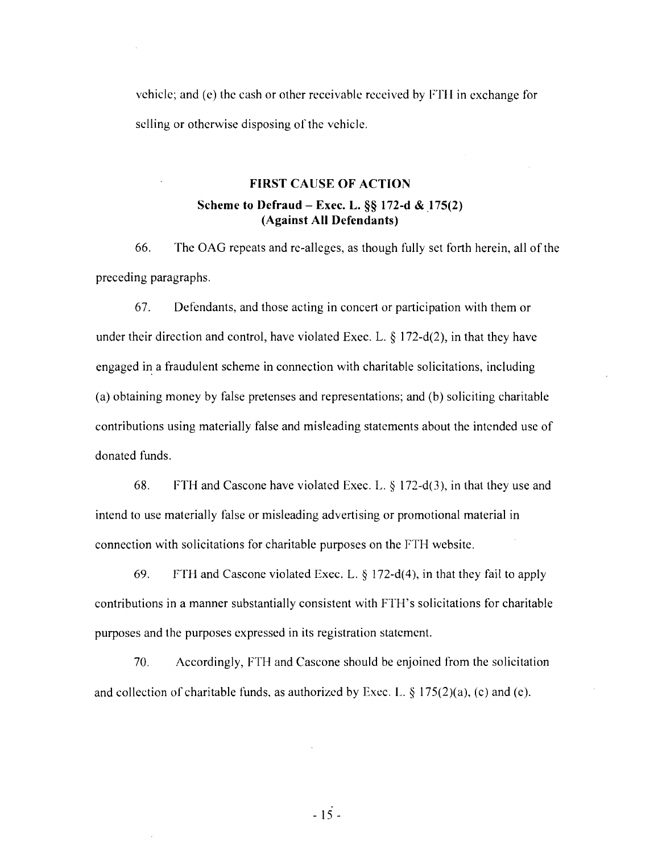vehicle; and (e) the cash or other receivable received by FTH in exchange for selling or otherwise disposing of the vehicle.

# FIRST CAUSE OF ACTION

# Scheme to Defraud - Exec. L.  $\S$ § 172-d & 175(2) (Against All Defendants)

66. The OAG repeats and re-alleges, as though fully set forth herein, all of the preceding paragraphs.

67. Defendants, and those acting in concert or participation with them or under their direction and control, have violated Exec. L.  $\S 172-d(2)$ , in that they have engaged in a fraudulent scheme in connection with charitable solicitations, including (a) obtaining money by false pretenses and representations; and (b) soliciting charitable contributions using materially false and misleading statements about the intended use of donated funds.

68. FTH and Cascone have violated Exec. L. § 172-d(3), in that they use and intend to use materially false or misleading advertising or promotional material in connection with solicitations for charitable purposes on the FTH website.

69. FTH and Cascone violated Exec. L. § 172-d(4), in that they fail to apply contributions in a manner substantially consistent with FTH's solicitations for charitable purposes and the purposes expressed in its registration statement.

70. Accordingly, FTH and Cascone should be enjoined from the solicitation and collection of charitable funds, as authorized by Exec. L.  $\S$  175(2)(a), (c) and (e).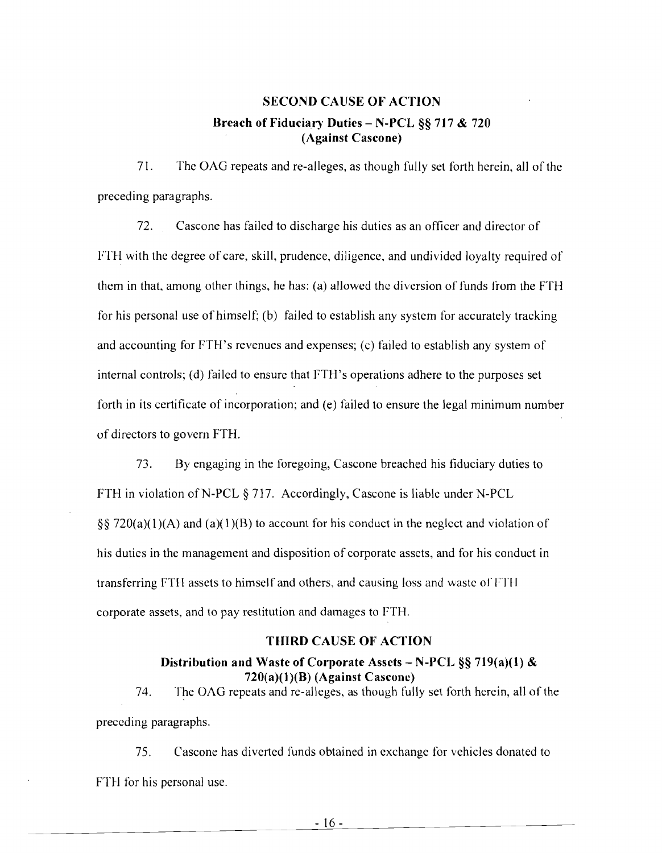# SECOND CAUSE OF ACTION 8reach of Fiduciary Duties - N-PCL §§ 717 & 720 (Against Cascone)

71. The OAO repeats and re-alleges, as though fully set forth herein, all of the preceding paragraphs.

72. Cascone has failed to discharge his duties as an officer and director of FTH with the degree of care, skill, prudence, diligence, and undivided loyalty required of them in that, among other things, he has: (a) allowed the diversion of funds from the FTH for his personal use of himself; (b) failed to establish any system for accurately tracking and accounting for FTH's revenues and expenses; (c) failed to establish any system of internal controls; (d) failed to ensure that FTH's operations adhere to the purposes set forth in its certificate of incorporation; and (e) failed to ensure the legal minimum number of directors to govern FTH.

73. By engaging in the foregoing, Cascone breached his fiduciary duties to FTH in violation of N-PCL  $\S 717$ . Accordingly, Cascone is liable under N-PCL §§ 720(a)(1)(A) and (a)(1)(B) to account for his conduct in the neglect and violation of his duties in the management and disposition of corporate assets, and for his conduct in transferring FTH assets to himself and others, and causing loss and waste of FTH corporate assets, and to pay restitution and damages to FTH.

#### THIRD CAUSE OF ACTION

## Distribution and Waste of Corporate Assets - N-PCL  $\S$ § 719(a)(1) &  $720(a)(1)(B)$  (Against Cascone)

74. The OAG repeats and re-alleges, as though fully set forth herein, all of the preceding paragraphs.

75. Cascone has diverted funds obtained in exchange for vehicles donated to FTH for his personal use.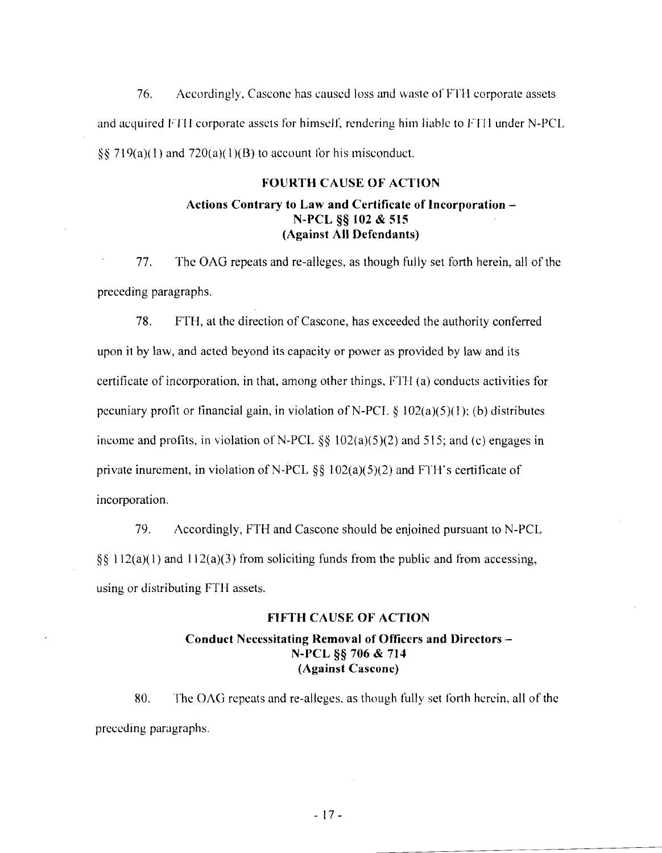76. Accordingly. Cascone has caused loss and waste of F'fH corporate assets and acquired FTH corporate assets for himself, rendering him liable to FTH under N-PCL §§ 719(a)(1) and 720(a)(1)(B) to account for his misconduct.

#### FOURTH CAUSE OF ACTION

## Actions Contrary to Law and Certificate of Incorporation N-PCL §§ 102 & 515 (Against All Defendants)

77. The OAG repeats and re-alleges, as though fully set forth herein, all of the preceding paragraphs.

78. FTH, at the direction of Cascone, has exceeded the authority conferred upon it by law, and acted beyond its capacity or power as provided by law and its certificate of incorporation. in that, among other things. FTH (a) conducts activities for pecuniary profit or financial gain, in violation of N-PCL  $\S$  102(a)(5)(1); (b) distributes income and profits, in violation of N-PCL  $\S$ § 102(a)(5)(2) and 515; and (c) engages in private inurement, in violation of N-PCL  $\S$ § 102(a)(5)(2) and FTH's certificate of incorporation.

79. Accordingly, FTH and Cascone should be enjoined pursuant to N-PCL §§ 112(a)(1) and 112(a)(3) from soliciting funds from the public and from accessing, using or distributing FTH assets.

#### FIFTH CAUSE OF ACTION

## Conduct Necessitating Removal of Officers and Directors N-PCL §§ 706 & 714 (Against Cascone)

80. The OAG repeats and re-alleges. as though fully set forth herein, all of the preceding paragraphs.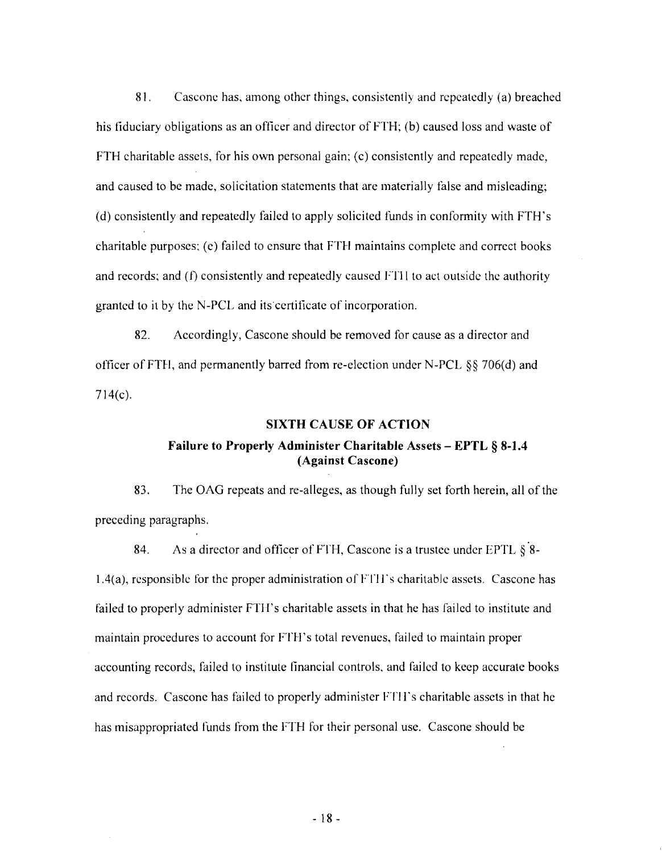81. Cascone has, among other things, consistently and repeatedly (a) breached his fiduciary obligations as an officer and director of FTH; (b) caused loss and waste of FTH charitable assets, for his own personal gain; (c) consistently and repeatedly made, and caused to be made, solicitation statements that are materially false and misleading; (d) consistently and repeatedly failed to apply solicited funds in conformity with FTH's charitable purposes; (e) failed to ensure that FTH maintains complete and correct books and records; and (t) consistently and repeatedly caused FTll to act outside the authority granted to it by the N-PCL and its'certificate of incorporation.

82. Accordingly, Cascone should be removed for cause as a director and officer of FTH, and permanently barred from re-election under N-PCL §§ 706(d) and 714(c).

#### SIXTH CAUSE OF ACTION

# Failure to Properly Administer Charitable Assets - EPTL § 8-1.4 (Against Cascone)

83. The GAG repeats and re-alleges, as though fully set forth herein, all of the preceding paragraphs.

84. As a director and officer of FTH, Cascone is a trustee under EPTL  $\S$  8- $1.4(a)$ , responsible for the proper administration of FTH's charitable assets. Cascone has failed to properly administer FTH's charitable assets in that he has failed to institute and maintain procedures to account for FTH's total revenues, failed to maintain proper accounting records, failed to institute financial controls, and failed to keep accurate books and records. Cascone has failed to properly administer FTl 1"s charitable assets in that he has misappropriated funds from the FTH for their personal use. Cascone should be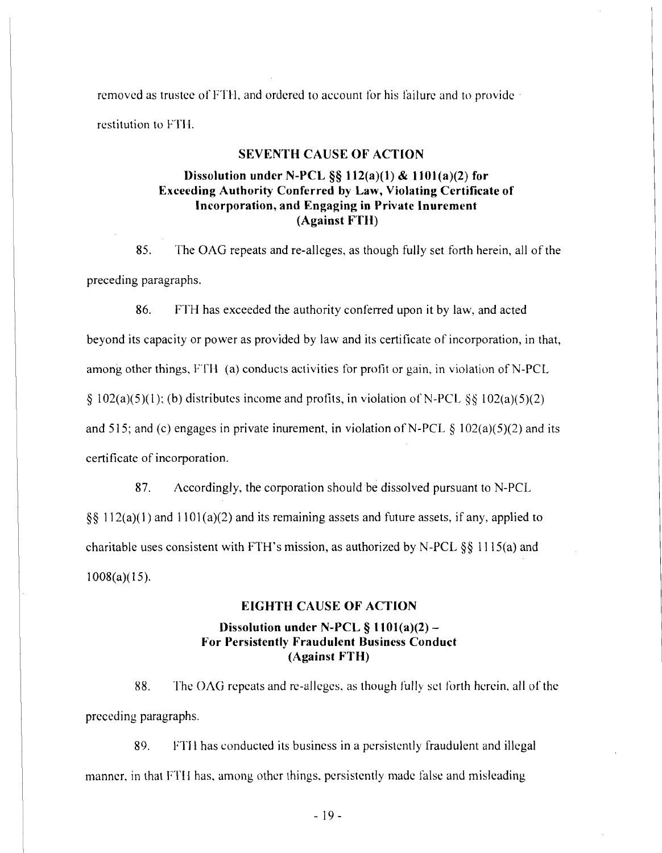removed as trustee of FTH, and ordered to account for his failure and to provide · restitution to FTH.

#### SEVENTH CAUSE OF ACTION

# Dissolution under N-PCL  $\S$ § 112(a)(1) & 1101(a)(2) for Exceeding Authority Conferred by Law, Violating Certificate of Incorporation, and Engaging in Private Inurement (Against FTH)

85. The OAG repeats and re-alleges, as though fully set forth herein, all of the preceding paragraphs.

86. FTH has exceeded the authority conferred upon it by law, and acted beyond its capacity or power as provided by law and its certificate of incorporation, in that, among other things, FTH (a) conducts activities for profit or gain, in violation of N-PCL § 102(a)(5)(1); (b) distributes income and profits, in violation of N-PCL §§ 102(a)(5)(2) and 515; and (c) engages in private inurement, in violation of N-PCL  $\S$  102(a)(5)(2) and its certificate of incorporation.

87. Accordingly, the corporation should be dissolved pursuant to N-PCL  $\S$ § 112(a)(1) and 1101(a)(2) and its remaining assets and future assets, if any, applied to charitable uses consistent with FTH's mission, as authorized by N-PCL  $\S\S$  1115(a) and  $1008(a)(15)$ .

#### EIGHTH CAUSE OF ACTION

## Dissolution under N-PCL § 1101(a)(2) For Persistently Fraudulent Business Conduct (Against FTH)

88. The OAG repeats and re-alleges, as though fully set forth herein. all of the preceding paragraphs.

89. FTII has conducted its business in a persistently fraudulent and illegal manner, in that FTII has, among other things, persistently made false and misleading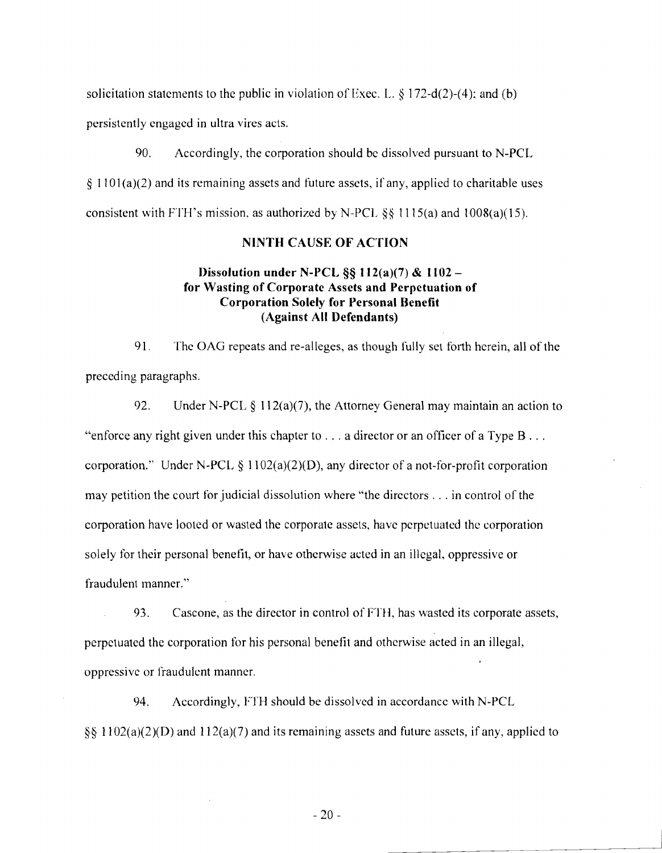solicitation statements to the public in violation of Exec. L.  $\S 172-d(2)-(4)$ ; and (b) persistently engaged in ultra vires acts.

90. Accordingly, the corporation should be dissolved pursuant to N-PCL  $\S 1101(a)(2)$  and its remaining assets and future assets, if any, applied to charitable uses consistent with FTH's mission, as authorized by N-PCL  $\S$ § 1115(a) and 1008(a)(15).

## NINTH CAUSE OF ACTION

# Dissolution under N-PCL  $\S$ § 112(a)(7) & 1102 for Wasting of Corporate Assets and Perpetuation of Corporation Solely for Personal Benefit (Against All Defendants)

91. The OAG repeats and re-alleges, as though fully set forth herein, all of the preceding paragraphs.

92. Under N-PCL § 112(a)(7), the Attorney General may maintain an action to "enforce any right given under this chapter to  $\dots$  a director or an officer of a Type B  $\dots$ corporation." Under N-PCL  $\S$  1102(a)(2)(D), any director of a not-for-profit corporation may petition the court for judicial dissolution where "the directors ... in control of the corporation have looted or wasted the corporate assets, have perpetuated the corporation solely for their personal benefit, or have otherwise acted in an illegal, oppressive or fraudulent manner."

93. Cascone, as the director in control of FTH, has wasted its corporate assets, perpetuated the corporation for his personal benefit and otherwise acted in an illegal, oppressive or fraudulent manner.

94. Accordingly, FTH should be dissolved in accordance with N-PCL  $\S$ § 1102(a)(2)(D) and 112(a)(7) and its remaining assets and future assets, if any, applied to

 $-20-$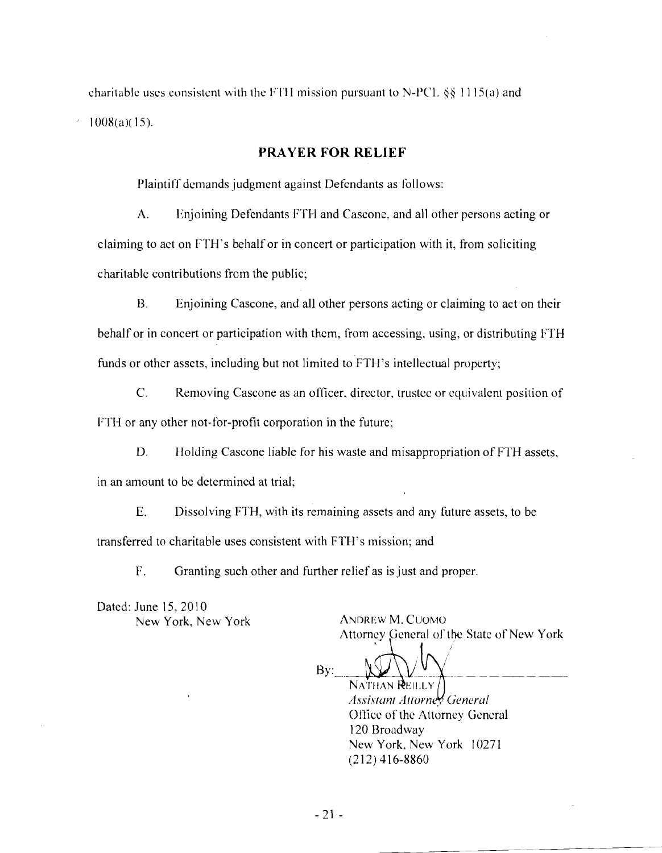charitable uses consistent with the FTH mission pursuant to N-PCL  $\S$ § 1115(a) and  $\leq$  1008(a)(15).

## **PRAYER FOR RELIEF**

Plaintiff demands judgment against Defendants as follows:

A. Enjoining Defendants FTB and Cascone, and all other persons acting or claiming to act on 17TH's behalf or in concert or participation with it, from soliciting charitable contributions from the public;

B. Enjoining Cascone, and all other persons acting or claiming to act on their behalf or in concert or participation with them, from accessing, using, or distributing FTH funds or other assets, including but not limited to FTH's intellectual property;

C. Removing Cascone as an officer, director, trustee or equivalent position of FTH or any other not-for-profit corporation in the future;

D. Holding Cascone liable for his waste and misappropriation of FTH assets, in an amount to be determined at trial;

E. Dissolving FTH, with its remaining assets and any future assets, to be transferred to charitable uses consistent with FTH's mission; and

17. Granting such other and further relief as is just and proper.

Dated: June 15, 20 I0 New York, New York ANDREW M. CUOMO

Attorney General of the State of New York

 $Bv$ :  $y: \longrightarrow \mathbb{W} \setminus V \cup \mathbb{Y}$ NATHAN REILLY *Assistant Attorner* General Office of the Attorney General

120 Broadway New York, New York 10271 (212) 416-8860